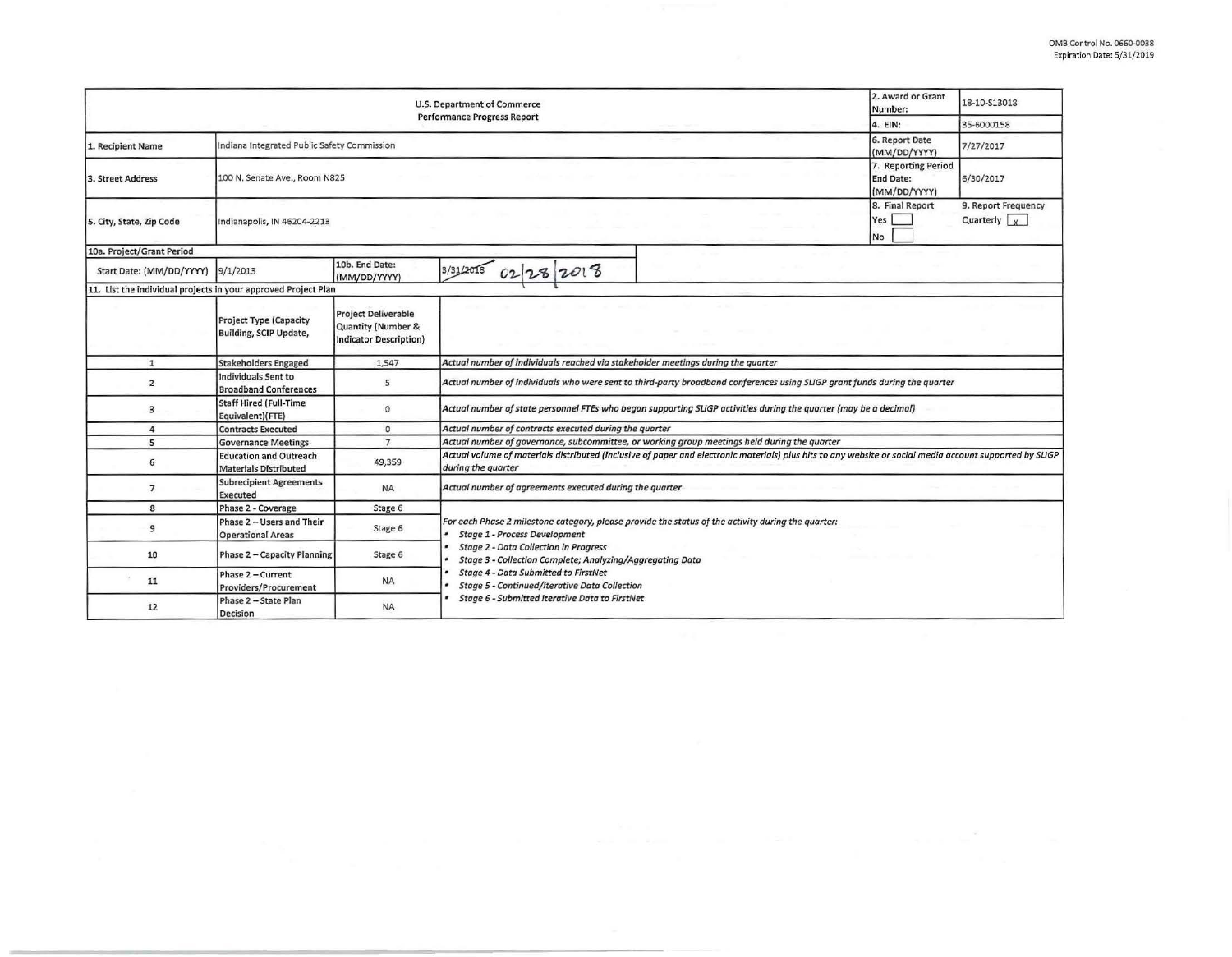|                                                                | 2. Award or Grant<br>Number:                                  | 18-10-S13018                                                               |                                                                                                                                                                                                                                                         |                                                         |                                             |  |  |  |  |
|----------------------------------------------------------------|---------------------------------------------------------------|----------------------------------------------------------------------------|---------------------------------------------------------------------------------------------------------------------------------------------------------------------------------------------------------------------------------------------------------|---------------------------------------------------------|---------------------------------------------|--|--|--|--|
|                                                                | 4. EIN:                                                       | 35-6000158                                                                 |                                                                                                                                                                                                                                                         |                                                         |                                             |  |  |  |  |
| L. Recipient Name                                              | Indiana Integrated Public Safety Commission                   | 6. Report Date<br>(MM/DD/YYYY)                                             | 7/27/2017                                                                                                                                                                                                                                               |                                                         |                                             |  |  |  |  |
| 3. Street Address                                              | 100 N. Senate Ave., Room N825                                 |                                                                            |                                                                                                                                                                                                                                                         | 7. Reporting Period<br><b>End Date:</b><br>(MM/DD/YYYY) | 6/30/2017                                   |  |  |  |  |
| 5. City, State, Zip Code                                       | Indianapolis, IN 46204-2213                                   |                                                                            |                                                                                                                                                                                                                                                         | 8. Final Report<br>Yes<br><b>No</b>                     | 9. Report Frequency<br>Quarterly $\sqrt{x}$ |  |  |  |  |
| 10a. Project/Grant Period                                      |                                                               |                                                                            |                                                                                                                                                                                                                                                         |                                                         |                                             |  |  |  |  |
| Start Date: (MM/DD/YYYY)                                       | 9/1/2013                                                      | 10b. End Date:<br>(MM/DD/YYYY)                                             | 3/31/2018<br>02 28 2018                                                                                                                                                                                                                                 |                                                         |                                             |  |  |  |  |
| 11. List the individual projects in your approved Project Plan |                                                               |                                                                            |                                                                                                                                                                                                                                                         |                                                         |                                             |  |  |  |  |
|                                                                | <b>Project Type (Capacity</b><br>Building, SCIP Update,       | <b>Project Deliverable</b><br>Quantity (Number &<br>Indicator Description) |                                                                                                                                                                                                                                                         |                                                         |                                             |  |  |  |  |
| $\mathbf{1}$                                                   | <b>Stakeholders Engaged</b>                                   | 1,547                                                                      | Actual number of individuals reached via stakeholder meetings during the quarter                                                                                                                                                                        |                                                         |                                             |  |  |  |  |
| $\overline{2}$                                                 | Individuals Sent to<br><b>Broadband Conferences</b>           | 5                                                                          | Actual number of individuals who were sent to third-party broadband conferences using SLIGP grant funds during the quarter                                                                                                                              |                                                         |                                             |  |  |  |  |
| 3                                                              | Staff Hired (Full-Time<br>Equivalent)(FTE)                    | $\circ$                                                                    | Actual number of state personnel FTEs who began supporting SLIGP activities during the quarter (may be a decimal)                                                                                                                                       |                                                         |                                             |  |  |  |  |
| 4                                                              | <b>Contracts Executed</b>                                     | $\circ$                                                                    | Actual number of contracts executed during the quarter                                                                                                                                                                                                  |                                                         |                                             |  |  |  |  |
| 5                                                              | <b>Governance Meetings</b>                                    | $\overline{7}$                                                             | Actual number of governance, subcommittee, or working group meetings held during the quarter                                                                                                                                                            |                                                         |                                             |  |  |  |  |
| 6                                                              | <b>Education and Outreach</b><br><b>Materials Distributed</b> | 49,359                                                                     | Actual volume of materials distributed (inclusive of paper and electronic materials) plus hits to any website or social media account supported by SLIGP<br>during the quarter                                                                          |                                                         |                                             |  |  |  |  |
| $\overline{7}$                                                 | <b>Subrecipient Agreements</b><br>Executed                    | <b>NA</b>                                                                  | Actual number of agreements executed during the quarter                                                                                                                                                                                                 |                                                         |                                             |  |  |  |  |
| 8                                                              | Phase 2 - Coverage                                            | Stage 6                                                                    |                                                                                                                                                                                                                                                         |                                                         |                                             |  |  |  |  |
| 9                                                              | Phase 2 - Users and Their<br><b>Operational Areas</b>         | Stage 6                                                                    | For each Phase 2 milestone category, please provide the status of the activity during the quarter:<br><b>Stage 1 - Process Development</b><br><b>Stage 2 - Data Collection in Progress</b><br>Stage 3 - Collection Complete; Analyzing/Aggregating Data |                                                         |                                             |  |  |  |  |
| 10                                                             | Phase 2 - Capacity Planning                                   | Stage 6                                                                    |                                                                                                                                                                                                                                                         |                                                         |                                             |  |  |  |  |
| 11                                                             | Phase 2 - Current<br>Providers/Procurement                    | <b>NA</b>                                                                  | <b>Stage 4 - Data Submitted to FirstNet</b><br>Stage 5 - Continued/Iterative Data Collection                                                                                                                                                            |                                                         |                                             |  |  |  |  |
| 12                                                             | Phase 2 - State Plan<br>Decision                              | <b>NA</b>                                                                  | Stage 6 - Submitted Iterative Data to FirstNet                                                                                                                                                                                                          |                                                         |                                             |  |  |  |  |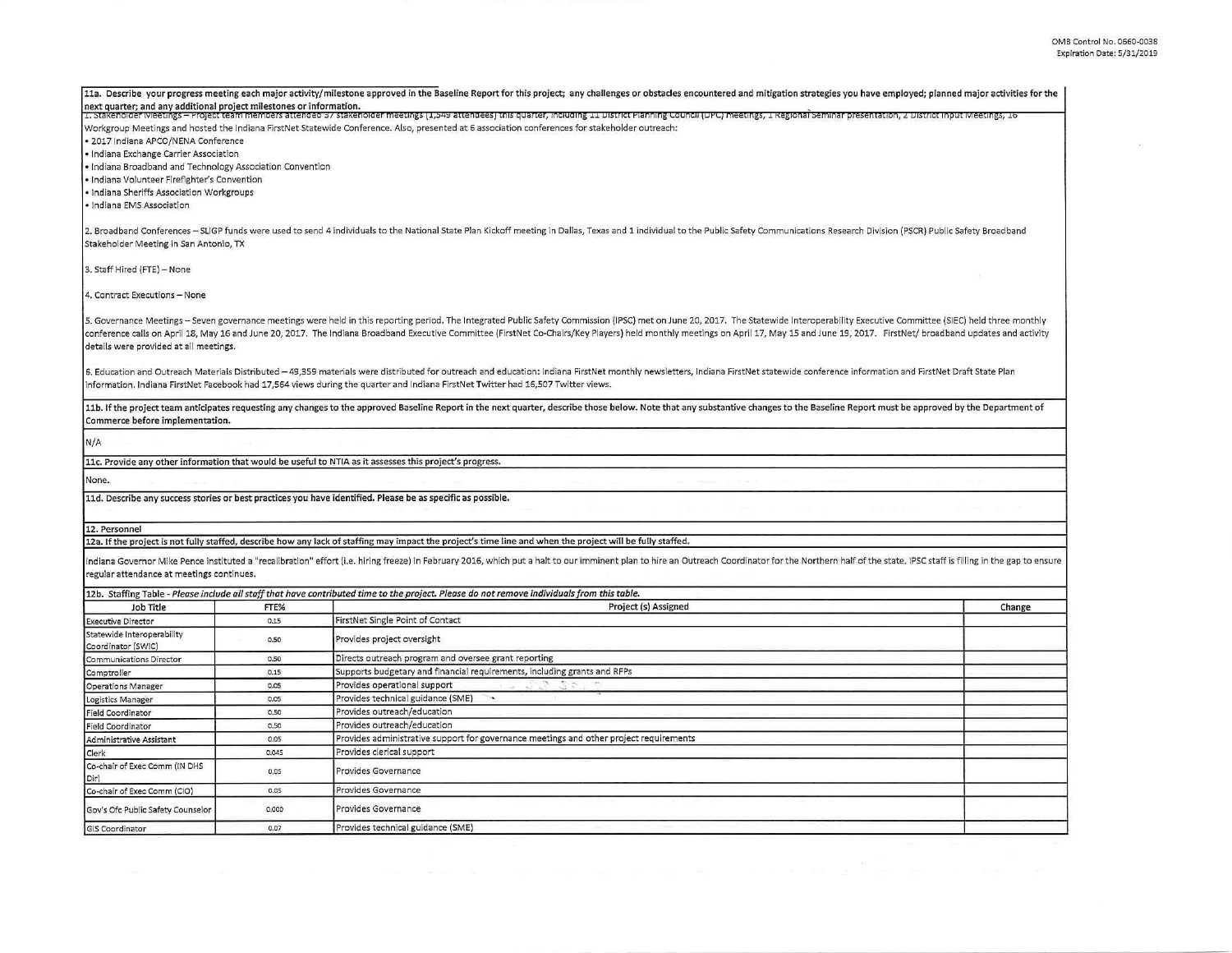$\epsilon$ 

| next quarter; and any additional project milestones or information. |       | 11a. Describe your progress meeting each major activity/milestone approved in the Baseline Report for this project; any challenges or obstacles encountered and mitigation strategies you have employed; planned major activit<br>1. Stakeholder Weetings - Project team members attended 57 stakeholder meetings (1,549 attendees) this quarter, including 11 District Planning Council (DPC) meetings, 1 Regional seminar presentation, 2 District Input Weeti |        |
|---------------------------------------------------------------------|-------|------------------------------------------------------------------------------------------------------------------------------------------------------------------------------------------------------------------------------------------------------------------------------------------------------------------------------------------------------------------------------------------------------------------------------------------------------------------|--------|
| · 2017 Indiana APCO/NENA Conference                                 |       | Workgroup Meetings and hosted the Indiana FirstNet Statewide Conference. Also, presented at 6 association conferences for stakeholder outreach:                                                                                                                                                                                                                                                                                                                  |        |
| · Indiana Exchange Carrier Association                              |       |                                                                                                                                                                                                                                                                                                                                                                                                                                                                  |        |
| · Indiana Broadband and Technology Association Convention           |       |                                                                                                                                                                                                                                                                                                                                                                                                                                                                  |        |
| · Indiana Volunteer Firefighter's Convention                        |       |                                                                                                                                                                                                                                                                                                                                                                                                                                                                  |        |
| · Indiana Sheriffs Association Workgroups                           |       |                                                                                                                                                                                                                                                                                                                                                                                                                                                                  |        |
| · Indiana EMS Association                                           |       |                                                                                                                                                                                                                                                                                                                                                                                                                                                                  |        |
| Stakeholder Meeting in San Antonio, TX                              |       | 2. Broadband Conferences - SLIGP funds were used to send 4 individuals to the National State Plan Kickoff meeting in Dallas, Texas and 1 individual to the Public Safety Communications Research Division (PSCR) Public Safety                                                                                                                                                                                                                                   |        |
| 3. Staff Hired (FTE) - None                                         |       |                                                                                                                                                                                                                                                                                                                                                                                                                                                                  |        |
| 4. Contract Executions - None                                       |       |                                                                                                                                                                                                                                                                                                                                                                                                                                                                  |        |
| details were provided at all meetings.                              |       | 5. Governance Meetings - Seven governance meetings were held in this reporting period. The Integrated Public Safety Commission (IPSC) met on June 20, 2017. The Statewide Interoperability Executive Committee (SIEC) held thr<br>conference calls on April 18, May 16 and June 20, 2017. The Indiana Broadband Executive Committee (FirstNet Co-Chairs/Key Players) held monthly meetings on April 17, May 15 and June 19, 2017. FirstNet/ broadband updates an |        |
|                                                                     |       | 6. Education and Outreach Materials Distributed -49,359 materials were distributed for outreach and education: Indiana FirstNet monthly newsletters, Indiana FirstNet statewide conference information and FirstNet Draft Stat<br>information. Indiana FirstNet Facebook had 17,564 views during the quarter and Indiana FirstNet Twitter had 16,507 Twitter views.                                                                                              |        |
| Commerce before implementation.                                     |       | 11b. If the project team anticipates requesting any changes to the approved Baseline Report in the next quarter, describe those below. Note that any substantive changes to the Baseline Report must be approved by the Depart                                                                                                                                                                                                                                   |        |
| N/A                                                                 |       |                                                                                                                                                                                                                                                                                                                                                                                                                                                                  |        |
|                                                                     |       | 11c. Provide any other information that would be useful to NTIA as it assesses this project's progress.                                                                                                                                                                                                                                                                                                                                                          |        |
| None.                                                               |       |                                                                                                                                                                                                                                                                                                                                                                                                                                                                  |        |
|                                                                     |       | 11d. Describe any success stories or best practices you have identified. Please be as specific as possible.                                                                                                                                                                                                                                                                                                                                                      |        |
| 12. Personnel                                                       |       |                                                                                                                                                                                                                                                                                                                                                                                                                                                                  |        |
|                                                                     |       | 12a. If the project is not fully staffed, describe how any lack of staffing may impact the project's time line and when the project will be fully staffed.                                                                                                                                                                                                                                                                                                       |        |
| regular attendance at meetings continues.                           |       | Indiana Governor Mike Pence instituted a "recalibration" effort (i.e. hiring freeze) in February 2016, which put a halt to our imminent plan to hire an Outreach Coordinator for the Northern half of the state. IPSC staff is                                                                                                                                                                                                                                   |        |
|                                                                     |       | 12b. Staffing Table - Please include all staff that have contributed time to the project. Please do not remove individuals from this table.                                                                                                                                                                                                                                                                                                                      |        |
| Job Title                                                           | FTE%  | Project (s) Assigned                                                                                                                                                                                                                                                                                                                                                                                                                                             | Change |
| <b>Executive Director</b>                                           | 0.15  | FirstNet Single Point of Contact                                                                                                                                                                                                                                                                                                                                                                                                                                 |        |
| Statewide Interoperability<br>Coordinator (SWIC)                    | 0.50  | Provides project oversight                                                                                                                                                                                                                                                                                                                                                                                                                                       |        |
| Communications Director                                             | 0.50  | Directs outreach program and oversee grant reporting                                                                                                                                                                                                                                                                                                                                                                                                             |        |
| Comptroller                                                         | 0.15  | Supports budgetary and financial requirements, including grants and RFPs                                                                                                                                                                                                                                                                                                                                                                                         |        |
| <b>Operations Manager</b>                                           | 0.05  | Provides operational support                                                                                                                                                                                                                                                                                                                                                                                                                                     |        |
| Logistics Manager                                                   | 0.05  | Provides technical guidance (SME)<br>$\overline{\phantom{a}}$                                                                                                                                                                                                                                                                                                                                                                                                    |        |
| <b>Field Coordinator</b>                                            | 0.50  | Provides outreach/education                                                                                                                                                                                                                                                                                                                                                                                                                                      |        |
| <b>Field Coordinator</b>                                            | 0,50  | Provides outreach/education                                                                                                                                                                                                                                                                                                                                                                                                                                      |        |
| Administrative Assistant                                            | 0.05  | Provides administrative support for governance meetings and other project requirements                                                                                                                                                                                                                                                                                                                                                                           |        |
| Clerk                                                               | 0.045 | Provides clerical support                                                                                                                                                                                                                                                                                                                                                                                                                                        |        |
| Co-chair of Exec Comm (IN DHS<br>Dir)                               | 0.05  | Provides Governance                                                                                                                                                                                                                                                                                                                                                                                                                                              |        |
| Co-chair of Exec Comm (CIO)                                         | 0.05  | Provides Governance                                                                                                                                                                                                                                                                                                                                                                                                                                              |        |
| Gov's Ofc Public Safety Counselor                                   | 0,000 | Provides Governance                                                                                                                                                                                                                                                                                                                                                                                                                                              |        |
| <b>GIS Coordinator</b>                                              | 0.07  | Provides technical guidance (SME)                                                                                                                                                                                                                                                                                                                                                                                                                                |        |
|                                                                     |       |                                                                                                                                                                                                                                                                                                                                                                                                                                                                  |        |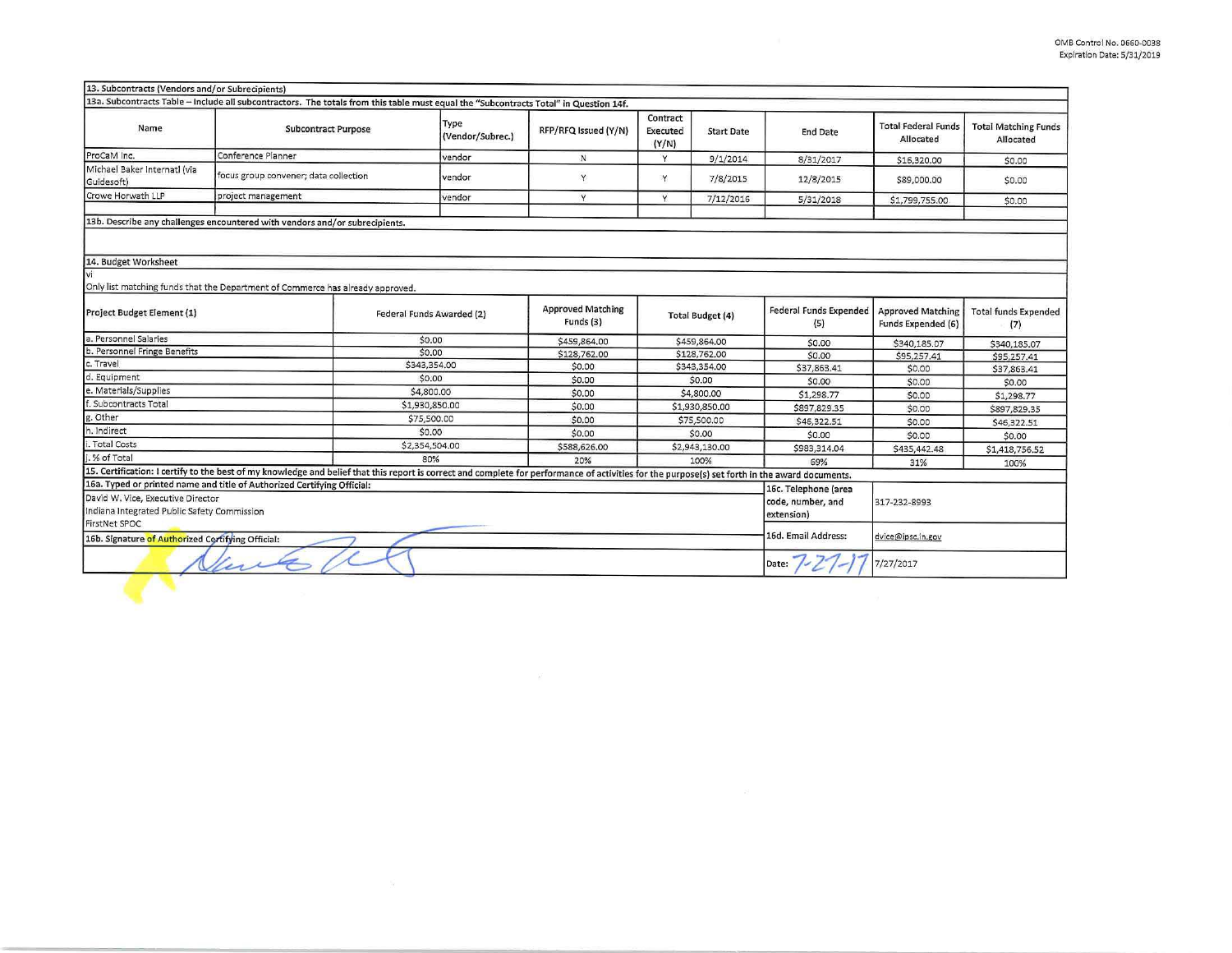| 13. Subcontracts (Vendors and/or Subrecipients)   |                                                                                                                                                                                                 |                           |                                       |                                      |                         |                               |                                                       |                                          |
|---------------------------------------------------|-------------------------------------------------------------------------------------------------------------------------------------------------------------------------------------------------|---------------------------|---------------------------------------|--------------------------------------|-------------------------|-------------------------------|-------------------------------------------------------|------------------------------------------|
|                                                   | 13a. Subcontracts Table - Include all subcontractors. The totals from this table must equal the "Subcontracts Total" in Question 14f.                                                           |                           |                                       |                                      |                         |                               |                                                       |                                          |
| Name                                              | <b>Subcontract Purpose</b>                                                                                                                                                                      | Type<br>(Vendor/Subrec.)  | RFP/RFQ Issued (Y/N)                  | Contract<br><b>Executed</b><br>(Y/N) | <b>Start Date</b>       | <b>End Date</b>               | <b>Total Federal Funds</b><br>Allocated               | <b>Total Matching Funds</b><br>Allocated |
| ProCaM Inc.                                       | Conference Planner                                                                                                                                                                              | vendor                    | N                                     | Y                                    | 9/1/2014                | 8/31/2017                     | \$16,320.00                                           | \$0.00                                   |
| Michael Baker Internati (via<br>Guidesoft)        | focus group convener; data collection                                                                                                                                                           | vendor                    | Y                                     | Y                                    | 7/8/2015                | 12/8/2015                     | \$89,000.00                                           | \$0.00                                   |
| Crowe Horwath LLP                                 | project management                                                                                                                                                                              | vendor                    | Y                                     | Y                                    | 7/12/2016               | 5/31/2018                     | \$1,799,755.00                                        | \$0.00                                   |
|                                                   | 13b. Describe any challenges encountered with vendors and/or subrecipients.                                                                                                                     |                           |                                       |                                      |                         |                               |                                                       |                                          |
|                                                   |                                                                                                                                                                                                 |                           |                                       |                                      |                         |                               |                                                       |                                          |
| 14. Budget Worksheet                              |                                                                                                                                                                                                 |                           |                                       |                                      |                         |                               |                                                       |                                          |
| vi                                                |                                                                                                                                                                                                 |                           |                                       |                                      |                         |                               |                                                       |                                          |
|                                                   | Only list matching funds that the Department of Commerce has already approved.                                                                                                                  |                           |                                       |                                      |                         |                               |                                                       |                                          |
| Project Budget Element (1)                        |                                                                                                                                                                                                 | Federal Funds Awarded (2) | <b>Approved Matching</b><br>Funds (3) |                                      | <b>Total Budget (4)</b> | Federal Funds Expended<br>(5) | <b>Approved Matching</b><br><b>Funds Expended (6)</b> | <b>Total funds Expended</b><br>(7)       |
| a. Personnel Salaries                             |                                                                                                                                                                                                 | \$0.00                    | \$459,864.00                          |                                      | \$459,864.00            | \$0.00                        | \$340,185.07                                          | \$340,185.07                             |
| b. Personnel Fringe Benefits                      |                                                                                                                                                                                                 | \$0.00                    | \$128,762.00                          |                                      | \$128,762.00            | \$0.00                        | \$95,257.41                                           | \$95,257.41                              |
| c. Travel                                         |                                                                                                                                                                                                 | \$343,354.00              | \$0.00                                |                                      | \$343,354.00            | \$37,863.41                   | \$0.00                                                | \$37,863.41                              |
| d. Equipment                                      |                                                                                                                                                                                                 | \$0.00                    | \$0.00                                | \$0.00                               |                         | \$0.00                        | \$0.00                                                | \$0.00                                   |
| e. Materials/Supplies                             |                                                                                                                                                                                                 | \$4,800.00                | \$0.00                                | \$4,800.00                           |                         | \$1,298.77                    | \$0.00                                                | \$1,298.77                               |
| f. Subcontracts Total                             |                                                                                                                                                                                                 | \$1,930,850.00            | \$0.00                                | \$1,930,850.00                       |                         | \$897,829.35                  | \$0.00                                                | \$897,829.35                             |
| g. Other                                          |                                                                                                                                                                                                 | \$75,500.00               | \$0.00                                | \$75,500.00                          |                         | \$46,322.51                   | \$0.00                                                | \$46,322.51                              |
| h. Indirect                                       |                                                                                                                                                                                                 | \$0.00                    | \$0.00                                | \$0.00                               |                         | \$0.00                        | \$0.00                                                | \$0.00                                   |
| i. Total Costs                                    |                                                                                                                                                                                                 | \$2,354,504.00            | \$588,626.00                          | \$2,943,130.00                       |                         | \$983,314.04                  | \$435,442.48                                          | \$1,418,756.52                           |
| .% of Total                                       |                                                                                                                                                                                                 | 80%                       | 20%                                   | 100%                                 |                         | 69%                           | 31%                                                   | 100%                                     |
|                                                   | 15. Certification: I certify to the best of my knowledge and belief that this report is correct and complete for performance of activities for the purpose(s) set forth in the award documents. |                           |                                       |                                      |                         |                               |                                                       |                                          |
|                                                   | 16a. Typed or printed name and title of Authorized Certifying Official:                                                                                                                         |                           |                                       |                                      |                         | 16c. Telephone (area          |                                                       |                                          |
| David W. Vice, Executive Director                 |                                                                                                                                                                                                 | code, number, and         | 317-232-8993                          |                                      |                         |                               |                                                       |                                          |
| Indiana Integrated Public Safety Commission       |                                                                                                                                                                                                 |                           |                                       |                                      |                         | extension)                    |                                                       |                                          |
| <b>FirstNet SPOC</b>                              |                                                                                                                                                                                                 |                           |                                       |                                      |                         |                               |                                                       |                                          |
| 16b. Signature of Authorized Certifying Official: |                                                                                                                                                                                                 | 16d. Email Address:       | dvice@ipsc.in.gov                     |                                      |                         |                               |                                                       |                                          |
| are                                               |                                                                                                                                                                                                 |                           |                                       |                                      |                         | Date:                         | 7/27/2017                                             |                                          |
|                                                   |                                                                                                                                                                                                 |                           |                                       |                                      |                         |                               |                                                       |                                          |